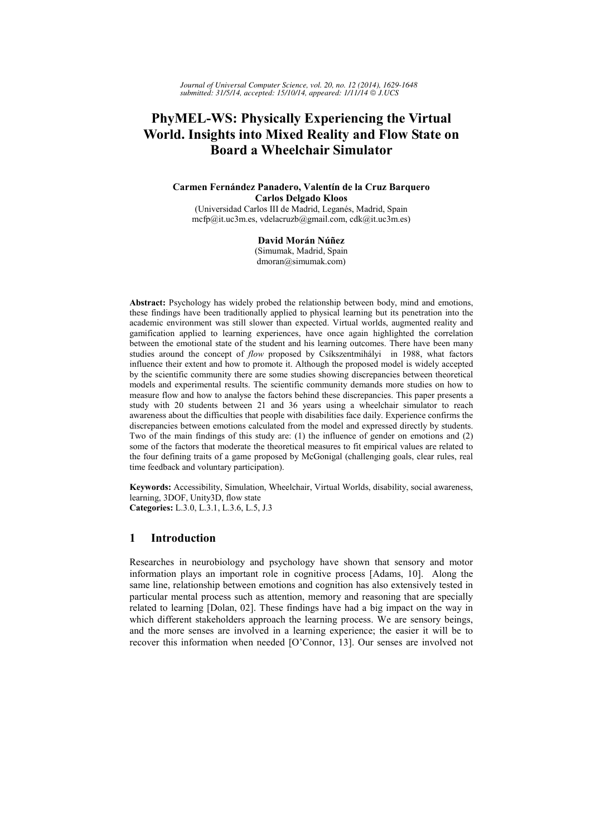*Journal of Universal Computer Science, vol. 20, no. 12 (2014), 1629-1648 submitted: 31/5/14, accepted: 15/10/14, appeared: 1/11/14 J.UCS*

# **PhyMEL-WS: Physically Experiencing the Virtual World. Insights into Mixed Reality and Flow State on Board a Wheelchair Simulator**

### **Carmen Fernández Panadero, Valentín de la Cruz Barquero Carlos Delgado Kloos**  (Universidad Carlos III de Madrid, Leganés, Madrid, Spain

mcfp@it.uc3m.es, vdelacruzb@gmail.com, cdk@it.uc3m.es)

**David Morán Núñez** (Simumak, Madrid, Spain dmoran@simumak.com)

**Abstract:** Psychology has widely probed the relationship between body, mind and emotions, these findings have been traditionally applied to physical learning but its penetration into the academic environment was still slower than expected. Virtual worlds, augmented reality and gamification applied to learning experiences, have once again highlighted the correlation between the emotional state of the student and his learning outcomes. There have been many studies around the concept of *flow* proposed by Csíkszentmihályi in 1988, what factors influence their extent and how to promote it. Although the proposed model is widely accepted by the scientific community there are some studies showing discrepancies between theoretical models and experimental results. The scientific community demands more studies on how to measure flow and how to analyse the factors behind these discrepancies. This paper presents a study with 20 students between 21 and 36 years using a wheelchair simulator to reach awareness about the difficulties that people with disabilities face daily. Experience confirms the discrepancies between emotions calculated from the model and expressed directly by students. Two of the main findings of this study are: (1) the influence of gender on emotions and (2) some of the factors that moderate the theoretical measures to fit empirical values are related to the four defining traits of a game proposed by McGonigal (challenging goals, clear rules, real time feedback and voluntary participation).

**Keywords:** Accessibility, Simulation, Wheelchair, Virtual Worlds, disability, social awareness, learning, 3DOF, Unity3D, flow state **Categories:** L.3.0, L.3.1, L.3.6, L.5, J.3

# **1 Introduction**

Researches in neurobiology and psychology have shown that sensory and motor information plays an important role in cognitive process [Adams, 10]. Along the same line, relationship between emotions and cognition has also extensively tested in particular mental process such as attention, memory and reasoning that are specially related to learning [Dolan, 02]. These findings have had a big impact on the way in which different stakeholders approach the learning process. We are sensory beings, and the more senses are involved in a learning experience; the easier it will be to recover this information when needed [O'Connor, 13]. Our senses are involved not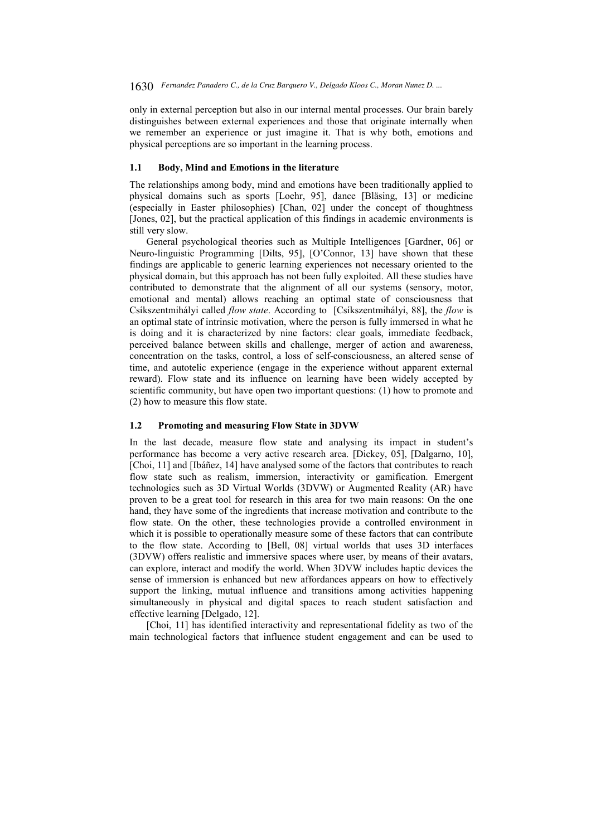only in external perception but also in our internal mental processes. Our brain barely distinguishes between external experiences and those that originate internally when we remember an experience or just imagine it. That is why both, emotions and physical perceptions are so important in the learning process.

# **1.1 Body, Mind and Emotions in the literature**

The relationships among body, mind and emotions have been traditionally applied to physical domains such as sports [Loehr, 95], dance [Bläsing, 13] or medicine (especially in Easter philosophies) [Chan, 02] under the concept of thoughtness [Jones, 02], but the practical application of this findings in academic environments is still very slow.

General psychological theories such as Multiple Intelligences [Gardner, 06] or Neuro-linguistic Programming [Dilts, 95], [O'Connor, 13] have shown that these findings are applicable to generic learning experiences not necessary oriented to the physical domain, but this approach has not been fully exploited. All these studies have contributed to demonstrate that the alignment of all our systems (sensory, motor, emotional and mental) allows reaching an optimal state of consciousness that Csíkszentmihályi called *flow state*. According to [Csíkszentmihályi, 88], the *flow* is an optimal state of intrinsic motivation, where the person is fully immersed in what he is doing and it is characterized by nine factors: clear goals, immediate feedback, perceived balance between skills and challenge, merger of action and awareness, concentration on the tasks, control, a loss of self-consciousness, an altered sense of time, and autotelic experience (engage in the experience without apparent external reward). Flow state and its influence on learning have been widely accepted by scientific community, but have open two important questions: (1) how to promote and (2) how to measure this flow state.

### **1.2 Promoting and measuring Flow State in 3DVW**

In the last decade, measure flow state and analysing its impact in student's performance has become a very active research area. [Dickey, 05], [Dalgarno, 10], [Choi, 11] and [Ibáñez, 14] have analysed some of the factors that contributes to reach flow state such as realism, immersion, interactivity or gamification. Emergent technologies such as 3D Virtual Worlds (3DVW) or Augmented Reality (AR) have proven to be a great tool for research in this area for two main reasons: On the one hand, they have some of the ingredients that increase motivation and contribute to the flow state. On the other, these technologies provide a controlled environment in which it is possible to operationally measure some of these factors that can contribute to the flow state. According to [Bell, 08] virtual worlds that uses 3D interfaces (3DVW) offers realistic and immersive spaces where user, by means of their avatars, can explore, interact and modify the world. When 3DVW includes haptic devices the sense of immersion is enhanced but new affordances appears on how to effectively support the linking, mutual influence and transitions among activities happening simultaneously in physical and digital spaces to reach student satisfaction and effective learning [Delgado, 12].

[Choi, 11] has identified interactivity and representational fidelity as two of the main technological factors that influence student engagement and can be used to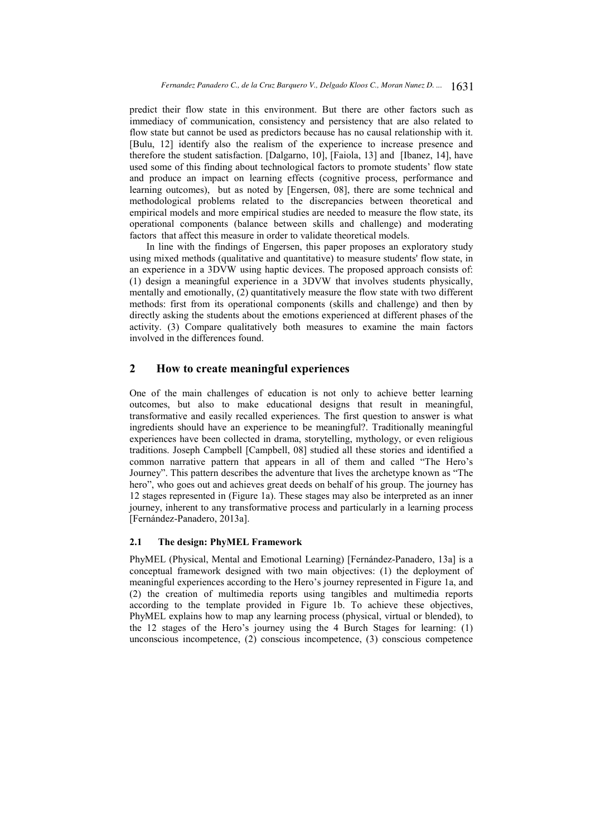predict their flow state in this environment. But there are other factors such as immediacy of communication, consistency and persistency that are also related to flow state but cannot be used as predictors because has no causal relationship with it. [Bulu, 12] identify also the realism of the experience to increase presence and therefore the student satisfaction. [Dalgarno, 10], [Faiola, 13] and [Ibanez, 14], have used some of this finding about technological factors to promote students' flow state and produce an impact on learning effects (cognitive process, performance and learning outcomes), but as noted by [Engersen, 08], there are some technical and methodological problems related to the discrepancies between theoretical and empirical models and more empirical studies are needed to measure the flow state, its operational components (balance between skills and challenge) and moderating factors that affect this measure in order to validate theoretical models.

In line with the findings of Engersen, this paper proposes an exploratory study using mixed methods (qualitative and quantitative) to measure students' flow state, in an experience in a 3DVW using haptic devices. The proposed approach consists of: (1) design a meaningful experience in a 3DVW that involves students physically, mentally and emotionally, (2) quantitatively measure the flow state with two different methods: first from its operational components (skills and challenge) and then by directly asking the students about the emotions experienced at different phases of the activity. (3) Compare qualitatively both measures to examine the main factors involved in the differences found.

# **2 How to create meaningful experiences**

One of the main challenges of education is not only to achieve better learning outcomes, but also to make educational designs that result in meaningful, transformative and easily recalled experiences. The first question to answer is what ingredients should have an experience to be meaningful?. Traditionally meaningful experiences have been collected in drama, storytelling, mythology, or even religious traditions. Joseph Campbell [Campbell, 08] studied all these stories and identified a common narrative pattern that appears in all of them and called "The Hero's Journey". This pattern describes the adventure that lives the archetype known as "The hero", who goes out and achieves great deeds on behalf of his group. The journey has 12 stages represented in (Figure 1a). These stages may also be interpreted as an inner journey, inherent to any transformative process and particularly in a learning process [Fernández-Panadero, 2013a].

### **2.1 The design: PhyMEL Framework**

PhyMEL (Physical, Mental and Emotional Learning) [Fernández-Panadero, 13a] is a conceptual framework designed with two main objectives: (1) the deployment of meaningful experiences according to the Hero's journey represented in Figure 1a, and (2) the creation of multimedia reports using tangibles and multimedia reports according to the template provided in Figure 1b. To achieve these objectives, PhyMEL explains how to map any learning process (physical, virtual or blended), to the 12 stages of the Hero's journey using the 4 Burch Stages for learning: (1) unconscious incompetence, (2) conscious incompetence, (3) conscious competence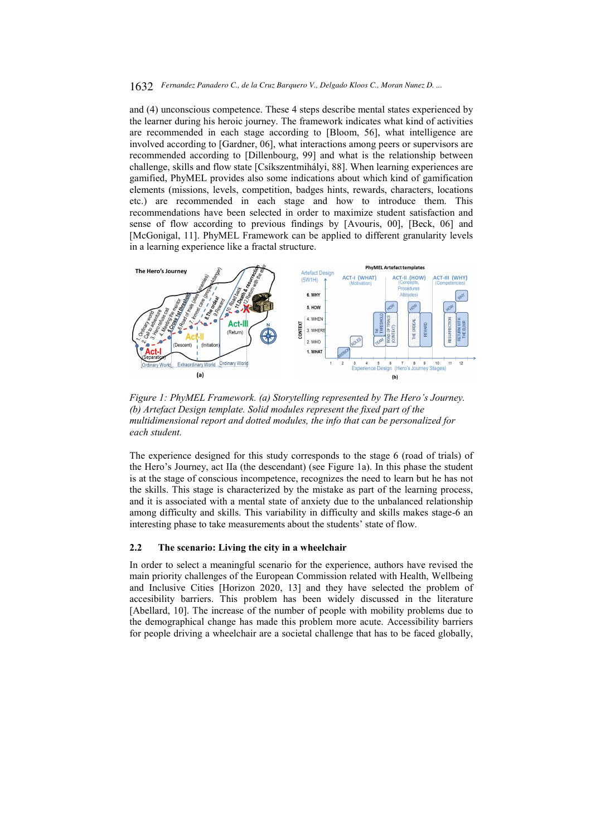and (4) unconscious competence. These 4 steps describe mental states experienced by the learner during his heroic journey. The framework indicates what kind of activities are recommended in each stage according to [Bloom, 56], what intelligence are involved according to [Gardner, 06], what interactions among peers or supervisors are recommended according to [Dillenbourg, 99] and what is the relationship between challenge, skills and flow state [Csíkszentmihályi, 88]. When learning experiences are gamified, PhyMEL provides also some indications about which kind of gamification elements (missions, levels, competition, badges hints, rewards, characters, locations etc.) are recommended in each stage and how to introduce them. This recommendations have been selected in order to maximize student satisfaction and sense of flow according to previous findings by [Avouris, 00], [Beck, 06] and [McGonigal, 11]. PhyMEL Framework can be applied to different granularity levels in a learning experience like a fractal structure.



*Figure 1: PhyMEL Framework. (a) Storytelling represented by The Hero's Journey. (b) Artefact Design template. Solid modules represent the fixed part of the multidimensional report and dotted modules, the info that can be personalized for each student.* 

The experience designed for this study corresponds to the stage 6 (road of trials) of the Hero's Journey, act IIa (the descendant) (see Figure 1a). In this phase the student is at the stage of conscious incompetence, recognizes the need to learn but he has not the skills. This stage is characterized by the mistake as part of the learning process, and it is associated with a mental state of anxiety due to the unbalanced relationship among difficulty and skills. This variability in difficulty and skills makes stage-6 an interesting phase to take measurements about the students' state of flow.

### **2.2 The scenario: Living the city in a wheelchair**

In order to select a meaningful scenario for the experience, authors have revised the main priority challenges of the European Commission related with Health, Wellbeing and Inclusive Cities [Horizon 2020, 13] and they have selected the problem of accesibility barriers. This problem has been widely discussed in the literature [Abellard, 10]. The increase of the number of people with mobility problems due to the demographical change has made this problem more acute. Accessibility barriers for people driving a wheelchair are a societal challenge that has to be faced globally,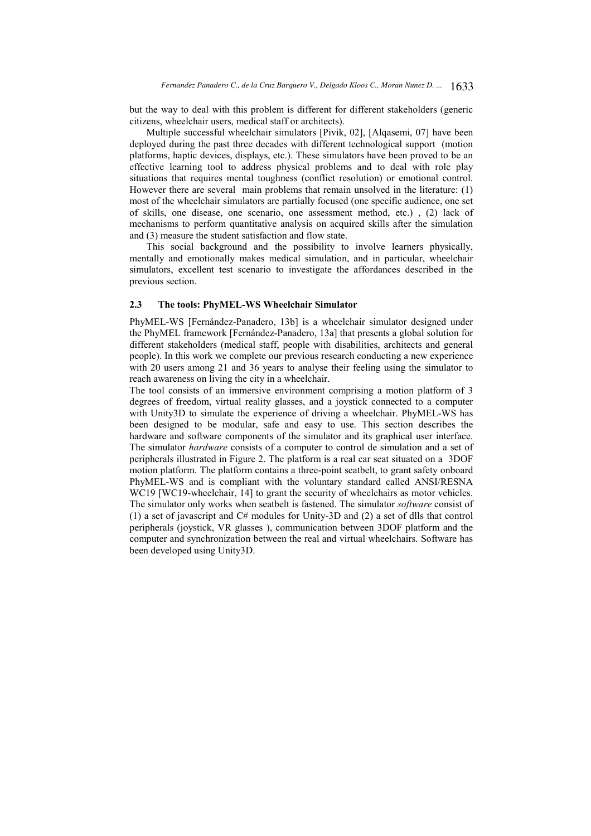but the way to deal with this problem is different for different stakeholders (generic citizens, wheelchair users, medical staff or architects).

Multiple successful wheelchair simulators [Pivik, 02], [Alqasemi, 07] have been deployed during the past three decades with different technological support (motion platforms, haptic devices, displays, etc.). These simulators have been proved to be an effective learning tool to address physical problems and to deal with role play situations that requires mental toughness (conflict resolution) or emotional control. However there are several main problems that remain unsolved in the literature: (1) most of the wheelchair simulators are partially focused (one specific audience, one set of skills, one disease, one scenario, one assessment method, etc.) , (2) lack of mechanisms to perform quantitative analysis on acquired skills after the simulation and (3) measure the student satisfaction and flow state.

This social background and the possibility to involve learners physically, mentally and emotionally makes medical simulation, and in particular, wheelchair simulators, excellent test scenario to investigate the affordances described in the previous section.

# **2.3 The tools: PhyMEL-WS Wheelchair Simulator**

PhyMEL-WS [Fernández-Panadero, 13b] is a wheelchair simulator designed under the PhyMEL framework [Fernández-Panadero, 13a] that presents a global solution for different stakeholders (medical staff, people with disabilities, architects and general people). In this work we complete our previous research conducting a new experience with 20 users among 21 and 36 years to analyse their feeling using the simulator to reach awareness on living the city in a wheelchair.

The tool consists of an immersive environment comprising a motion platform of 3 degrees of freedom, virtual reality glasses, and a joystick connected to a computer with Unity3D to simulate the experience of driving a wheelchair. PhyMEL-WS has been designed to be modular, safe and easy to use. This section describes the hardware and software components of the simulator and its graphical user interface. The simulator *hardware* consists of a computer to control de simulation and a set of peripherals illustrated in Figure 2. The platform is a real car seat situated on a 3DOF motion platform. The platform contains a three-point seatbelt, to grant safety onboard PhyMEL-WS and is compliant with the voluntary standard called ANSI/RESNA WC19 [WC19-wheelchair, 14] to grant the security of wheelchairs as motor vehicles. The simulator only works when seatbelt is fastened. The simulator *software* consist of (1) a set of javascript and C# modules for Unity-3D and (2) a set of dlls that control peripherals (joystick, VR glasses ), communication between 3DOF platform and the computer and synchronization between the real and virtual wheelchairs. Software has been developed using Unity3D.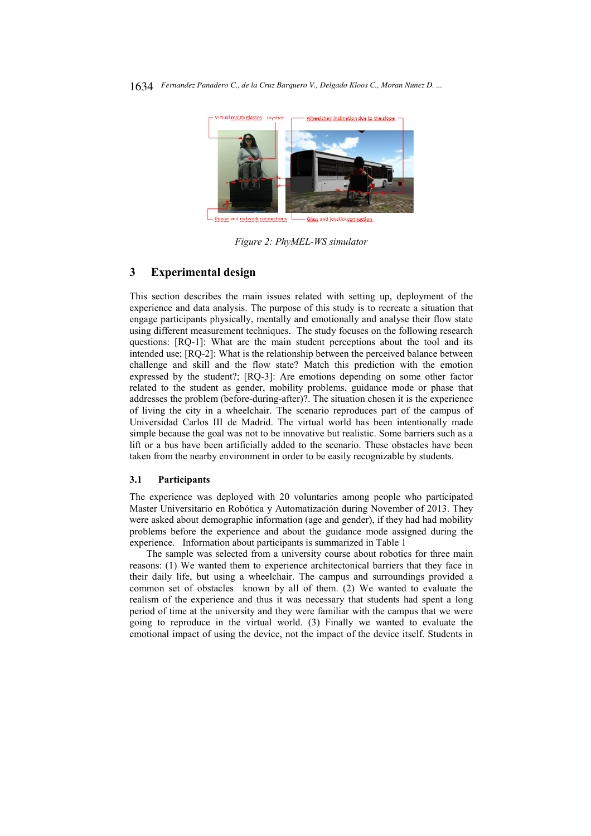

*Figure 2: PhyMEL-WS simulator*

# **3 Experimental design**

This section describes the main issues related with setting up, deployment of the experience and data analysis. The purpose of this study is to recreate a situation that engage participants physically, mentally and emotionally and analyse their flow state using different measurement techniques. The study focuses on the following research questions: [RQ-1]: What are the main student perceptions about the tool and its intended use; [RQ-2]: What is the relationship between the perceived balance between challenge and skill and the flow state? Match this prediction with the emotion expressed by the student?; [RQ-3]: Are emotions depending on some other factor related to the student as gender, mobility problems, guidance mode or phase that addresses the problem (before-during-after)?. The situation chosen it is the experience of living the city in a wheelchair. The scenario reproduces part of the campus of Universidad Carlos III de Madrid. The virtual world has been intentionally made simple because the goal was not to be innovative but realistic. Some barriers such as a lift or a bus have been artificially added to the scenario. These obstacles have been taken from the nearby environment in order to be easily recognizable by students.

# **3.1 Participants**

The experience was deployed with 20 voluntaries among people who participated Master Universitario en Robótica y Automatización during November of 2013. They were asked about demographic information (age and gender), if they had had mobility problems before the experience and about the guidance mode assigned during the experience. Information about participants is summarized in Table 1

The sample was selected from a university course about robotics for three main reasons: (1) We wanted them to experience architectonical barriers that they face in their daily life, but using a wheelchair. The campus and surroundings provided a common set of obstacles known by all of them. (2) We wanted to evaluate the realism of the experience and thus it was necessary that students had spent a long period of time at the university and they were familiar with the campus that we were going to reproduce in the virtual world. (3) Finally we wanted to evaluate the emotional impact of using the device, not the impact of the device itself. Students in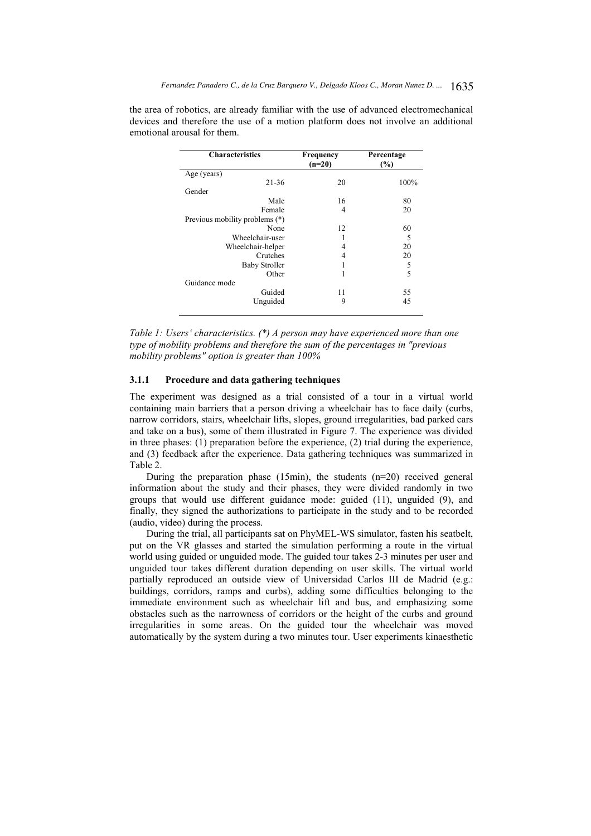| 20 | 100%          |
|----|---------------|
|    |               |
|    |               |
|    |               |
| 16 | 80            |
| 4  | 20            |
|    |               |
| 12 | 60            |
|    | 5             |
| 4  | 20            |
| 4  | 20            |
| 1  |               |
| 1  | $\frac{5}{5}$ |
|    |               |
| 11 | 55            |
| 9  | 45            |
|    |               |

the area of robotics, are already familiar with the use of advanced electromechanical devices and therefore the use of a motion platform does not involve an additional emotional arousal for them.

*Table 1: Users' characteristics. (\*) A person may have experienced more than one type of mobility problems and therefore the sum of the percentages in "previous mobility problems" option is greater than 100%* 

# **3.1.1 Procedure and data gathering techniques**

The experiment was designed as a trial consisted of a tour in a virtual world containing main barriers that a person driving a wheelchair has to face daily (curbs, narrow corridors, stairs, wheelchair lifts, slopes, ground irregularities, bad parked cars and take on a bus), some of them illustrated in Figure 7. The experience was divided in three phases: (1) preparation before the experience, (2) trial during the experience, and (3) feedback after the experience. Data gathering techniques was summarized in Table 2.

During the preparation phase  $(15\text{min})$ , the students  $(n=20)$  received general information about the study and their phases, they were divided randomly in two groups that would use different guidance mode: guided (11), unguided (9), and finally, they signed the authorizations to participate in the study and to be recorded (audio, video) during the process.

During the trial, all participants sat on PhyMEL-WS simulator, fasten his seatbelt, put on the VR glasses and started the simulation performing a route in the virtual world using guided or unguided mode. The guided tour takes 2-3 minutes per user and unguided tour takes different duration depending on user skills. The virtual world partially reproduced an outside view of Universidad Carlos III de Madrid (e.g.: buildings, corridors, ramps and curbs), adding some difficulties belonging to the immediate environment such as wheelchair lift and bus, and emphasizing some obstacles such as the narrowness of corridors or the height of the curbs and ground irregularities in some areas. On the guided tour the wheelchair was moved automatically by the system during a two minutes tour. User experiments kinaesthetic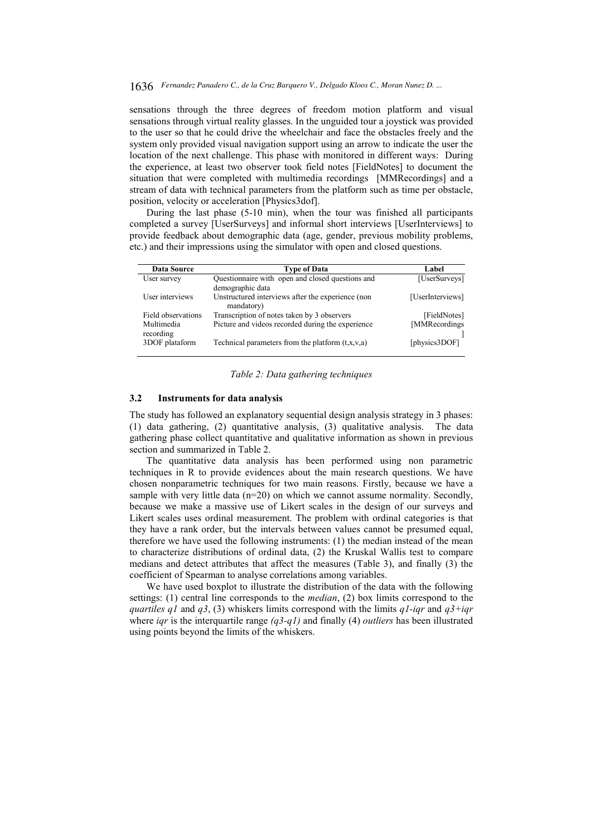sensations through the three degrees of freedom motion platform and visual sensations through virtual reality glasses. In the unguided tour a joystick was provided to the user so that he could drive the wheelchair and face the obstacles freely and the system only provided visual navigation support using an arrow to indicate the user the location of the next challenge. This phase with monitored in different ways: During the experience, at least two observer took field notes [FieldNotes] to document the situation that were completed with multimedia recordings [MMRecordings] and a stream of data with technical parameters from the platform such as time per obstacle, position, velocity or acceleration [Physics3dof].

During the last phase (5-10 min), when the tour was finished all participants completed a survey [UserSurveys] and informal short interviews [UserInterviews] to provide feedback about demographic data (age, gender, previous mobility problems, etc.) and their impressions using the simulator with open and closed questions.

| <b>Data Source</b>      | <b>Type of Data</b>                                                  | Label            |
|-------------------------|----------------------------------------------------------------------|------------------|
| User survey             | Questionnaire with open and closed questions and<br>demographic data | [UserSurveys]    |
| User interviews         | Unstructured interviews after the experience (non<br>mandatory)      | [UserInterviews] |
| Field observations      | Transcription of notes taken by 3 observers                          | [FieldNotes]     |
| Multimedia<br>recording | Picture and videos recorded during the experience                    | [MMRecordings    |
| 3DOF plataform          | Technical parameters from the platform $(t, x, v, a)$                | [physics3DOF]    |

*Table 2: Data gathering techniques* 

### **3.2 Instruments for data analysis**

The study has followed an explanatory sequential design analysis strategy in 3 phases: (1) data gathering, (2) quantitative analysis, (3) qualitative analysis. The data gathering phase collect quantitative and qualitative information as shown in previous section and summarized in Table 2.

The quantitative data analysis has been performed using non parametric techniques in R to provide evidences about the main research questions. We have chosen nonparametric techniques for two main reasons. Firstly, because we have a sample with very little data  $(n=20)$  on which we cannot assume normality. Secondly, because we make a massive use of Likert scales in the design of our surveys and Likert scales uses ordinal measurement. The problem with ordinal categories is that they have a rank order, but the intervals between values cannot be presumed equal, therefore we have used the following instruments: (1) the median instead of the mean to characterize distributions of ordinal data, (2) the Kruskal Wallis test to compare medians and detect attributes that affect the measures (Table 3), and finally (3) the coefficient of Spearman to analyse correlations among variables.

We have used boxplot to illustrate the distribution of the data with the following settings: (1) central line corresponds to the *median*, (2) box limits correspond to the *quartiles q1* and *q3*, (3) whiskers limits correspond with the limits *q1-iqr* and *q3+iqr* where *iqr* is the interquartile range *(q3-q1)* and finally (4) *outliers* has been illustrated using points beyond the limits of the whiskers.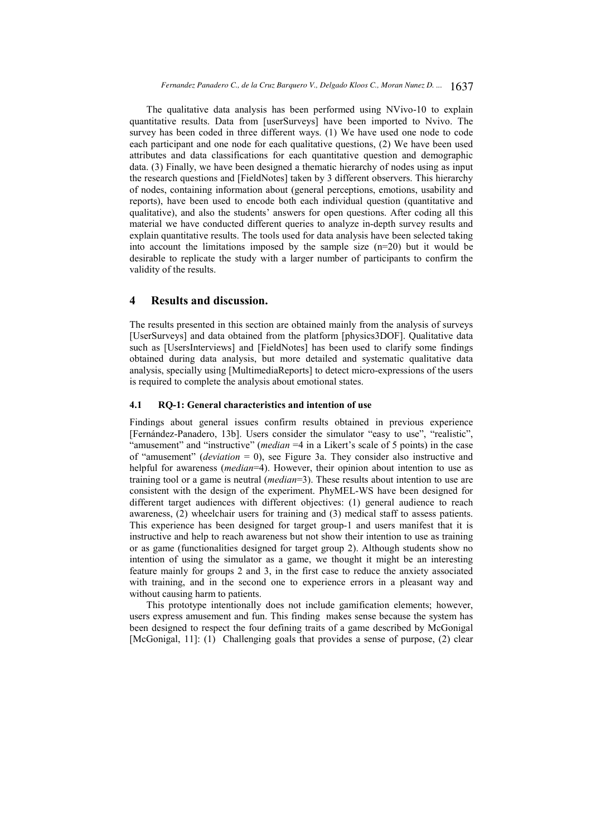The qualitative data analysis has been performed using NVivo-10 to explain quantitative results. Data from [userSurveys] have been imported to Nvivo. The survey has been coded in three different ways. (1) We have used one node to code each participant and one node for each qualitative questions, (2) We have been used attributes and data classifications for each quantitative question and demographic data. (3) Finally, we have been designed a thematic hierarchy of nodes using as input the research questions and [FieldNotes] taken by 3 different observers. This hierarchy of nodes, containing information about (general perceptions, emotions, usability and reports), have been used to encode both each individual question (quantitative and qualitative), and also the students' answers for open questions. After coding all this material we have conducted different queries to analyze in-depth survey results and explain quantitative results. The tools used for data analysis have been selected taking into account the limitations imposed by the sample size (n=20) but it would be desirable to replicate the study with a larger number of participants to confirm the validity of the results.

# **4 Results and discussion.**

The results presented in this section are obtained mainly from the analysis of surveys [UserSurveys] and data obtained from the platform [physics3DOF]. Qualitative data such as [UsersInterviews] and [FieldNotes] has been used to clarify some findings obtained during data analysis, but more detailed and systematic qualitative data analysis, specially using [MultimediaReports] to detect micro-expressions of the users is required to complete the analysis about emotional states.

# **4.1 RQ-1: General characteristics and intention of use**

Findings about general issues confirm results obtained in previous experience [Fernández-Panadero, 13b]. Users consider the simulator "easy to use", "realistic", "amusement" and "instructive" (*median* =4 in a Likert's scale of 5 points) in the case of "amusement" (*deviation* = 0), see Figure 3a. They consider also instructive and helpful for awareness (*median*=4). However, their opinion about intention to use as training tool or a game is neutral (*median*=3). These results about intention to use are consistent with the design of the experiment. PhyMEL-WS have been designed for different target audiences with different objectives: (1) general audience to reach awareness, (2) wheelchair users for training and (3) medical staff to assess patients. This experience has been designed for target group-1 and users manifest that it is instructive and help to reach awareness but not show their intention to use as training or as game (functionalities designed for target group 2). Although students show no intention of using the simulator as a game, we thought it might be an interesting feature mainly for groups 2 and 3, in the first case to reduce the anxiety associated with training, and in the second one to experience errors in a pleasant way and without causing harm to patients.

This prototype intentionally does not include gamification elements; however, users express amusement and fun. This finding makes sense because the system has been designed to respect the four defining traits of a game described by McGonigal [McGonigal, 11]: (1) Challenging goals that provides a sense of purpose, (2) clear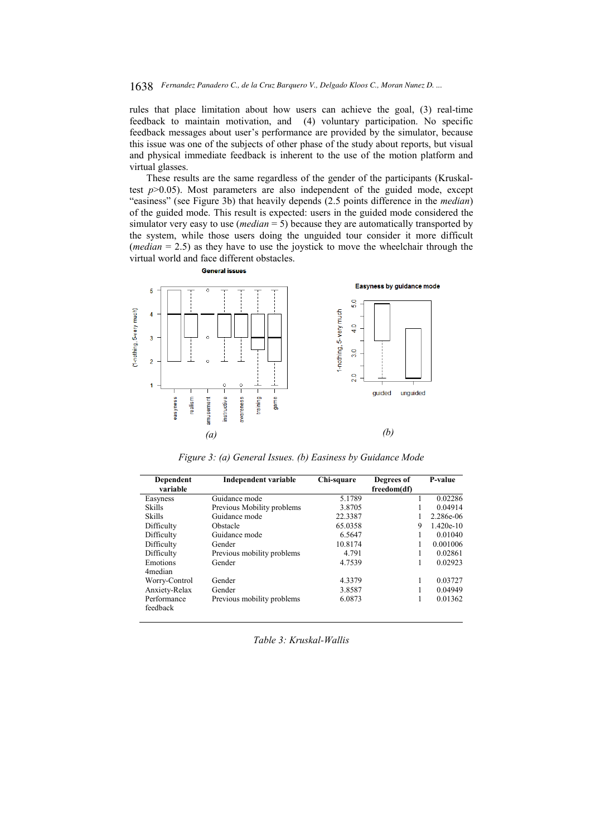rules that place limitation about how users can achieve the goal, (3) real-time feedback to maintain motivation, and (4) voluntary participation. No specific feedback messages about user's performance are provided by the simulator, because this issue was one of the subjects of other phase of the study about reports, but visual and physical immediate feedback is inherent to the use of the motion platform and virtual glasses.

These results are the same regardless of the gender of the participants (Kruskaltest  $p$  $>$ 0.05). Most parameters are also independent of the guided mode, except "easiness" (see Figure 3b) that heavily depends (2.5 points difference in the *median*) of the guided mode. This result is expected: users in the guided mode considered the simulator very easy to use (*median* = 5) because they are automatically transported by the system, while those users doing the unguided tour consider it more difficult (*median* = 2.5) as they have to use the joystick to move the wheelchair through the virtual world and face different obstacles.



*Figure 3: (a) General Issues. (b) Easiness by Guidance Mode*

| <b>Dependent</b>        | Independent variable       | Chi-square | Degrees of  | <b>P-value</b> |
|-------------------------|----------------------------|------------|-------------|----------------|
| variable                |                            |            | freedom(df) |                |
| Easyness                | Guidance mode              | 5.1789     |             | 0.02286        |
| <b>Skills</b>           | Previous Mobility problems | 3.8705     |             | 0.04914        |
| <b>Skills</b>           | Guidance mode              | 22.3387    |             | 2.286e-06      |
| Difficulty              | Obstacle                   | 65.0358    | 9           | $1.420e-10$    |
| Difficulty              | Guidance mode              | 6.5647     |             | 0.01040        |
| Difficulty              | Gender                     | 10.8174    |             | 0.001006       |
| Difficulty              | Previous mobility problems | 4.791      |             | 0.02861        |
| Emotions                | Gender                     | 4.7539     |             | 0.02923        |
| 4 <sub>median</sub>     |                            |            |             |                |
| Worry-Control           | Gender                     | 4.3379     |             | 0.03727        |
| Anxiety-Relax           | Gender                     | 3.8587     |             | 0.04949        |
| Performance<br>feedback | Previous mobility problems | 6.0873     |             | 0.01362        |

*Table 3: Kruskal-Wallis*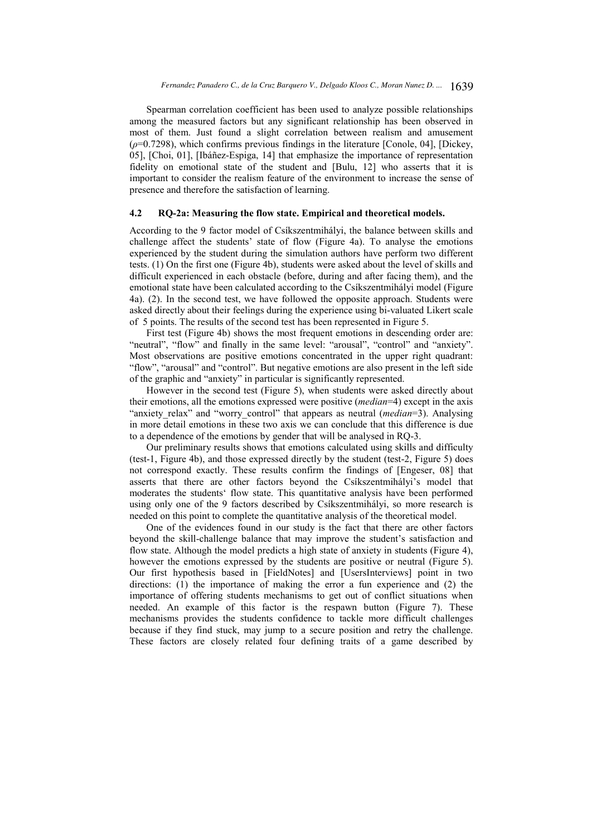Spearman correlation coefficient has been used to analyze possible relationships among the measured factors but any significant relationship has been observed in most of them. Just found a slight correlation between realism and amusement (*ρ*=0.7298), which confirms previous findings in the literature [Conole, 04], [Dickey, 05], [Choi, 01], [Ibáñez-Espiga, 14] that emphasize the importance of representation fidelity on emotional state of the student and [Bulu, 12] who asserts that it is important to consider the realism feature of the environment to increase the sense of presence and therefore the satisfaction of learning.

# **4.2 RQ-2a: Measuring the flow state. Empirical and theoretical models.**

According to the 9 factor model of Csíkszentmihályi, the balance between skills and challenge affect the students' state of flow (Figure 4a). To analyse the emotions experienced by the student during the simulation authors have perform two different tests. (1) On the first one (Figure 4b), students were asked about the level of skills and difficult experienced in each obstacle (before, during and after facing them), and the emotional state have been calculated according to the Csíkszentmihályi model (Figure 4a). (2). In the second test, we have followed the opposite approach. Students were asked directly about their feelings during the experience using bi-valuated Likert scale of 5 points. The results of the second test has been represented in Figure 5.

First test (Figure 4b) shows the most frequent emotions in descending order are: "neutral", "flow" and finally in the same level: "arousal", "control" and "anxiety". Most observations are positive emotions concentrated in the upper right quadrant: "flow", "arousal" and "control". But negative emotions are also present in the left side of the graphic and "anxiety" in particular is significantly represented.

However in the second test (Figure 5), when students were asked directly about their emotions, all the emotions expressed were positive (*median*=4) except in the axis "anxiety relax" and "worry control" that appears as neutral (*median*=3). Analysing in more detail emotions in these two axis we can conclude that this difference is due to a dependence of the emotions by gender that will be analysed in RQ-3.

Our preliminary results shows that emotions calculated using skills and difficulty (test-1, Figure 4b), and those expressed directly by the student (test-2, Figure 5) does not correspond exactly. These results confirm the findings of [Engeser, 08] that asserts that there are other factors beyond the Csíkszentmihályi's model that moderates the students' flow state. This quantitative analysis have been performed using only one of the 9 factors described by Csíkszentmihályi, so more research is needed on this point to complete the quantitative analysis of the theoretical model.

One of the evidences found in our study is the fact that there are other factors beyond the skill-challenge balance that may improve the student's satisfaction and flow state. Although the model predicts a high state of anxiety in students (Figure 4), however the emotions expressed by the students are positive or neutral (Figure 5). Our first hypothesis based in [FieldNotes] and [UsersInterviews] point in two directions: (1) the importance of making the error a fun experience and (2) the importance of offering students mechanisms to get out of conflict situations when needed. An example of this factor is the respawn button (Figure 7). These mechanisms provides the students confidence to tackle more difficult challenges because if they find stuck, may jump to a secure position and retry the challenge. These factors are closely related four defining traits of a game described by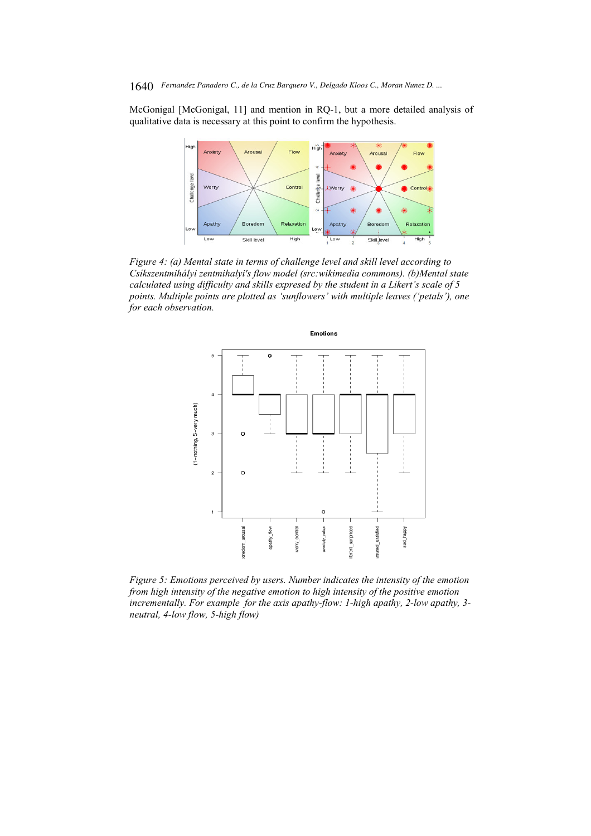McGonigal [McGonigal, 11] and mention in RQ-1, but a more detailed analysis of qualitative data is necessary at this point to confirm the hypothesis.



*Figure 4: (a) Mental state in terms of challenge level and skill level according to Csíkszentmihályi zentmihalyi's flow model (src:wikimedia commons). (b)Mental state calculated using difficulty and skills expresed by the student in a Likert's scale of 5 points. Multiple points are plotted as 'sunflowers' with multiple leaves ('petals'), one for each observation.* 



*Figure 5: Emotions perceived by users. Number indicates the intensity of the emotion from high intensity of the negative emotion to high intensity of the positive emotion incrementally. For example for the axis apathy-flow: 1-high apathy, 2-low apathy, 3 neutral, 4-low flow, 5-high flow)*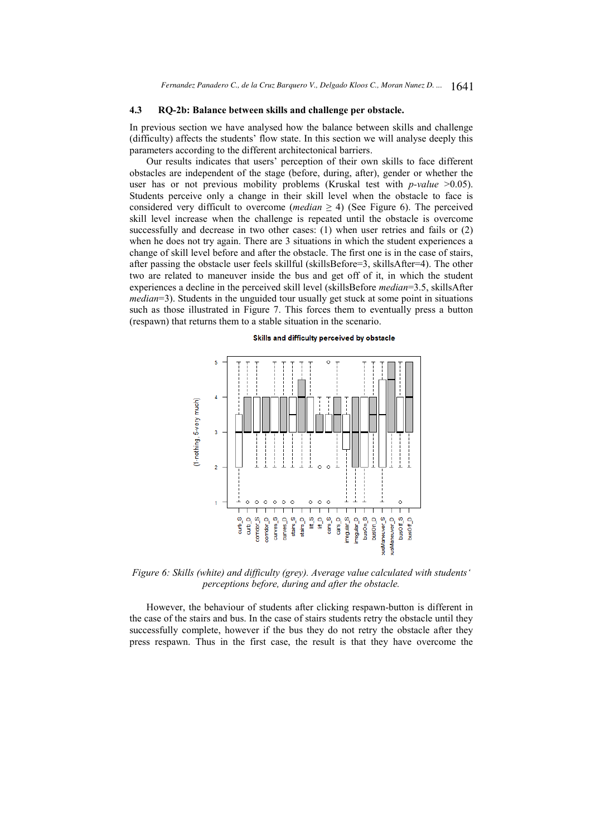### **4.3 RQ-2b: Balance between skills and challenge per obstacle.**

In previous section we have analysed how the balance between skills and challenge (difficulty) affects the students' flow state. In this section we will analyse deeply this parameters according to the different architectonical barriers.

Our results indicates that users' perception of their own skills to face different obstacles are independent of the stage (before, during, after), gender or whether the user has or not previous mobility problems (Kruskal test with *p-value* >0.05). Students perceive only a change in their skill level when the obstacle to face is considered very difficult to overcome (*median*  $\geq$  4) (See Figure 6). The perceived skill level increase when the challenge is repeated until the obstacle is overcome successfully and decrease in two other cases: (1) when user retries and fails or (2) when he does not try again. There are 3 situations in which the student experiences a change of skill level before and after the obstacle. The first one is in the case of stairs, after passing the obstacle user feels skillful (skillsBefore=3, skillsAfter=4). The other two are related to maneuver inside the bus and get off of it, in which the student experiences a decline in the perceived skill level (skillsBefore *median*=3.5, skillsAfter *median*=3). Students in the unguided tour usually get stuck at some point in situations such as those illustrated in Figure 7. This forces them to eventually press a button (respawn) that returns them to a stable situation in the scenario.

#### Skills and difficulty perceived by obstacle



*Figure 6: Skills (white) and difficulty (grey). Average value calculated with students' perceptions before, during and after the obstacle.* 

However, the behaviour of students after clicking respawn-button is different in the case of the stairs and bus. In the case of stairs students retry the obstacle until they successfully complete, however if the bus they do not retry the obstacle after they press respawn. Thus in the first case, the result is that they have overcome the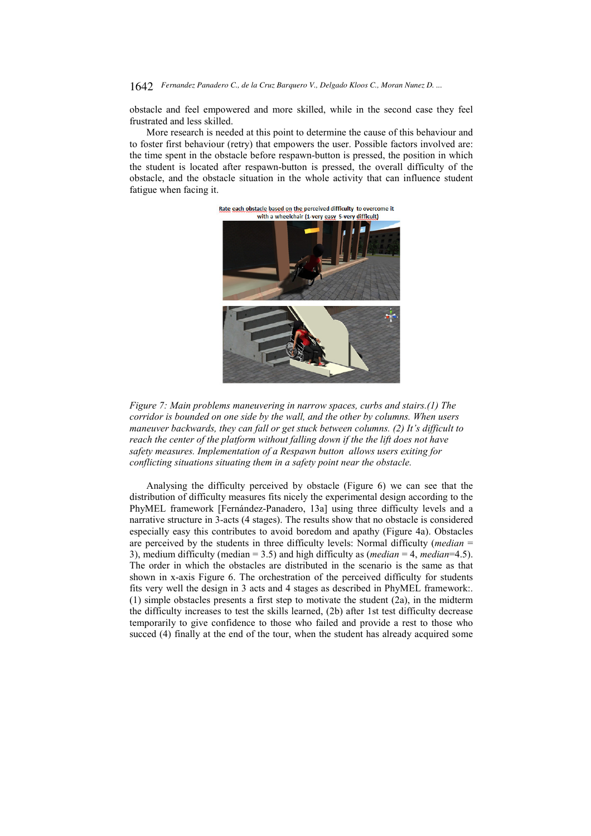obstacle and feel empowered and more skilled, while in the second case they feel frustrated and less skilled.

More research is needed at this point to determine the cause of this behaviour and to foster first behaviour (retry) that empowers the user. Possible factors involved are: the time spent in the obstacle before respawn-button is pressed, the position in which the student is located after respawn-button is pressed, the overall difficulty of the obstacle, and the obstacle situation in the whole activity that can influence student fatigue when facing it.



Rate each obstacle based on the perceived difficulty to overcome it with a wheelchair (1-very easy 5-very difficult)

*Figure 7: Main problems maneuvering in narrow spaces, curbs and stairs.(1) The corridor is bounded on one side by the wall, and the other by columns. When users maneuver backwards, they can fall or get stuck between columns. (2) It's difficult to reach the center of the platform without falling down if the the lift does not have safety measures. Implementation of a Respawn button allows users exiting for conflicting situations situating them in a safety point near the obstacle.* 

Analysing the difficulty perceived by obstacle (Figure 6) we can see that the distribution of difficulty measures fits nicely the experimental design according to the PhyMEL framework [Fernández-Panadero, 13a] using three difficulty levels and a narrative structure in 3-acts (4 stages). The results show that no obstacle is considered especially easy this contributes to avoid boredom and apathy (Figure 4a). Obstacles are perceived by the students in three difficulty levels: Normal difficulty (*median* = 3), medium difficulty (median = 3.5) and high difficulty as (*median* = 4, *median*=4.5). The order in which the obstacles are distributed in the scenario is the same as that shown in x-axis Figure 6. The orchestration of the perceived difficulty for students fits very well the design in 3 acts and 4 stages as described in PhyMEL framework:. (1) simple obstacles presents a first step to motivate the student (2a), in the midterm the difficulty increases to test the skills learned, (2b) after 1st test difficulty decrease temporarily to give confidence to those who failed and provide a rest to those who succed (4) finally at the end of the tour, when the student has already acquired some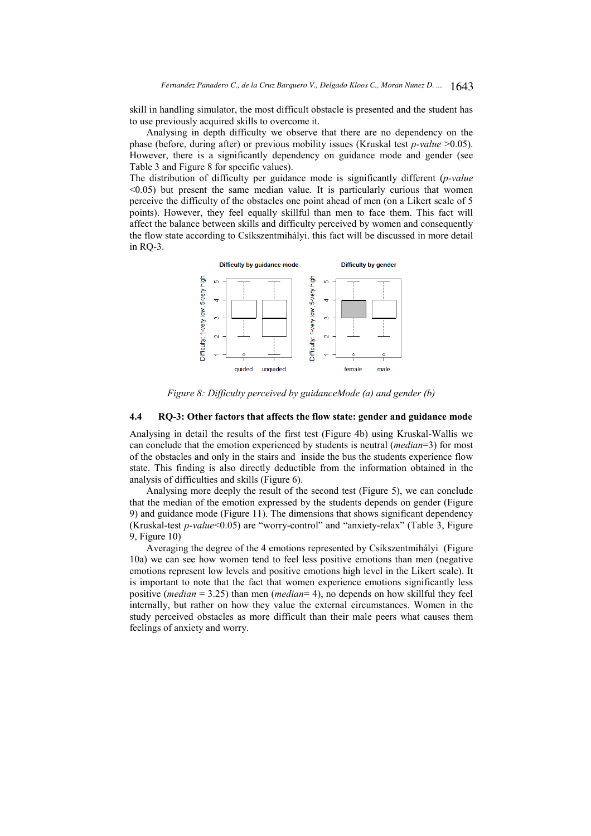skill in handling simulator, the most difficult obstacle is presented and the student has to use previously acquired skills to overcome it.

Analysing in depth difficulty we observe that there are no dependency on the phase (before, during after) or previous mobility issues (Kruskal test *p-value* >0.05). However, there is a significantly dependency on guidance mode and gender (see Table 3 and Figure 8 for specific values).

The distribution of difficulty per guidance mode is significantly different (*p-value*  $(0.05)$  but present the same median value. It is particularly curious that women perceive the difficulty of the obstacles one point ahead of men (on a Likert scale of 5 points). However, they feel equally skillful than men to face them. This fact will affect the balance between skills and difficulty perceived by women and consequently the flow state according to Csíkszentmihályi. this fact will be discussed in more detail in RQ-3.



*Figure 8: Difficulty perceived by guidanceMode (a) and gender (b)*

# **4.4 RQ-3: Other factors that affects the flow state: gender and guidance mode**

Analysing in detail the results of the first test (Figure 4b) using Kruskal-Wallis we can conclude that the emotion experienced by students is neutral (*median*=3) for most of the obstacles and only in the stairs and inside the bus the students experience flow state. This finding is also directly deductible from the information obtained in the analysis of difficulties and skills (Figure 6).

Analysing more deeply the result of the second test (Figure 5), we can conclude that the median of the emotion expressed by the students depends on gender (Figure 9) and guidance mode (Figure 11). The dimensions that shows significant dependency (Kruskal-test *p-value*<0.05) are "worry-control" and "anxiety-relax" (Table 3, Figure 9, Figure 10)

Averaging the degree of the 4 emotions represented by Csíkszentmihályi (Figure 10a) we can see how women tend to feel less positive emotions than men (negative emotions represent low levels and positive emotions high level in the Likert scale). It is important to note that the fact that women experience emotions significantly less positive (*median* = 3.25) than men (*median*= 4), no depends on how skillful they feel internally, but rather on how they value the external circumstances. Women in the study perceived obstacles as more difficult than their male peers what causes them feelings of anxiety and worry.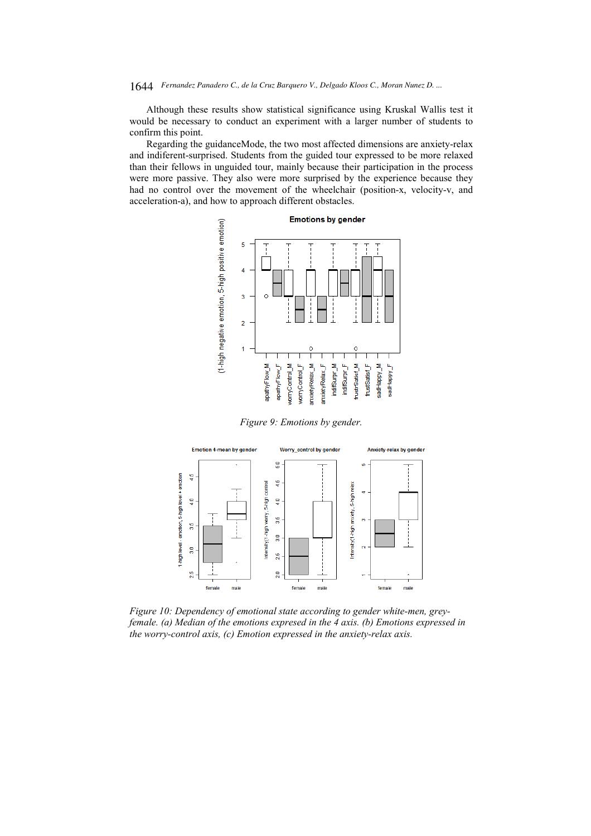Although these results show statistical significance using Kruskal Wallis test it would be necessary to conduct an experiment with a larger number of students to confirm this point.

Regarding the guidanceMode, the two most affected dimensions are anxiety-relax and indiferent-surprised. Students from the guided tour expressed to be more relaxed than their fellows in unguided tour, mainly because their participation in the process were more passive. They also were more surprised by the experience because they had no control over the movement of the wheelchair (position-x, velocity-v, and acceleration-a), and how to approach different obstacles.



*Figure 9: Emotions by gender.* 



*Figure 10: Dependency of emotional state according to gender white-men, greyfemale. (a) Median of the emotions expresed in the 4 axis. (b) Emotions expressed in the worry-control axis, (c) Emotion expressed in the anxiety-relax axis.*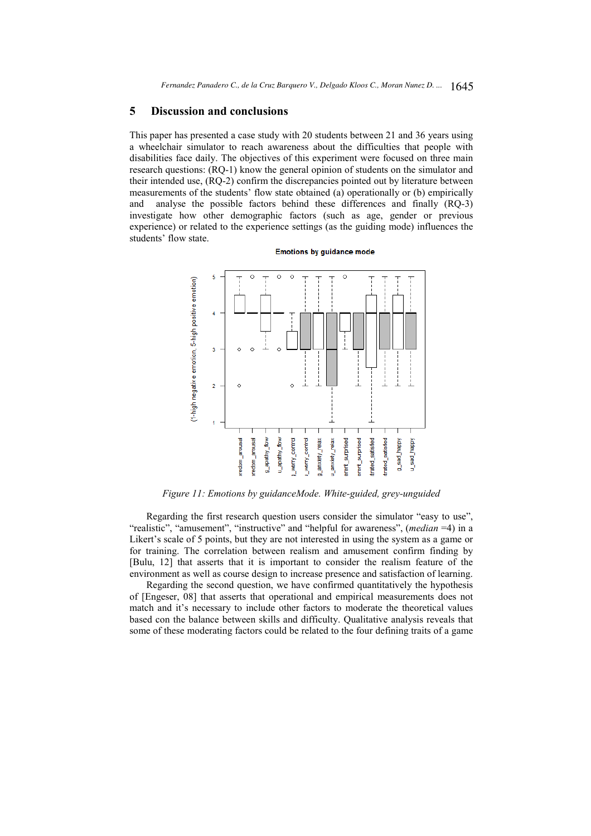# **5 Discussion and conclusions**

This paper has presented a case study with 20 students between 21 and 36 years using a wheelchair simulator to reach awareness about the difficulties that people with disabilities face daily. The objectives of this experiment were focused on three main research questions: (RQ-1) know the general opinion of students on the simulator and their intended use, (RQ-2) confirm the discrepancies pointed out by literature between measurements of the students' flow state obtained (a) operationally or (b) empirically and analyse the possible factors behind these differences and finally (RQ-3) investigate how other demographic factors (such as age, gender or previous experience) or related to the experience settings (as the guiding mode) influences the students' flow state.



**Emotions by guidance mode** 

*Figure 11: Emotions by guidanceMode. White-guided, grey-unguided*

Regarding the first research question users consider the simulator "easy to use", "realistic", "amusement", "instructive" and "helpful for awareness", (*median* =4) in a Likert's scale of 5 points, but they are not interested in using the system as a game or for training. The correlation between realism and amusement confirm finding by [Bulu, 12] that asserts that it is important to consider the realism feature of the environment as well as course design to increase presence and satisfaction of learning.

Regarding the second question, we have confirmed quantitatively the hypothesis of [Engeser, 08] that asserts that operational and empirical measurements does not match and it's necessary to include other factors to moderate the theoretical values based con the balance between skills and difficulty. Qualitative analysis reveals that some of these moderating factors could be related to the four defining traits of a game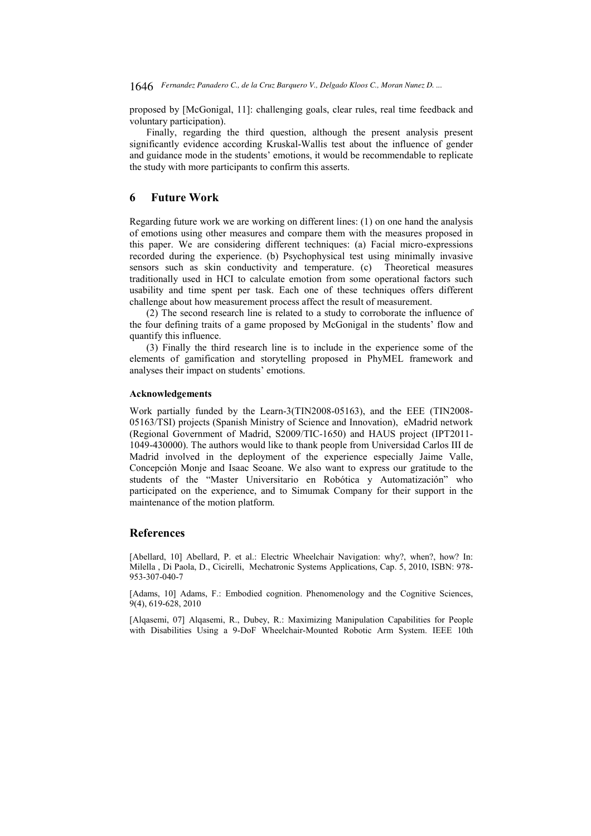proposed by [McGonigal, 11]: challenging goals, clear rules, real time feedback and voluntary participation).

Finally, regarding the third question, although the present analysis present significantly evidence according Kruskal-Wallis test about the influence of gender and guidance mode in the students' emotions, it would be recommendable to replicate the study with more participants to confirm this asserts.

# **6 Future Work**

Regarding future work we are working on different lines: (1) on one hand the analysis of emotions using other measures and compare them with the measures proposed in this paper. We are considering different techniques: (a) Facial micro-expressions recorded during the experience. (b) Psychophysical test using minimally invasive sensors such as skin conductivity and temperature. (c) Theoretical measures traditionally used in HCI to calculate emotion from some operational factors such usability and time spent per task. Each one of these techniques offers different challenge about how measurement process affect the result of measurement.

(2) The second research line is related to a study to corroborate the influence of the four defining traits of a game proposed by McGonigal in the students' flow and quantify this influence.

(3) Finally the third research line is to include in the experience some of the elements of gamification and storytelling proposed in PhyMEL framework and analyses their impact on students' emotions.

#### **Acknowledgements**

Work partially funded by the Learn-3(TIN2008-05163), and the EEE (TIN2008- 05163/TSI) projects (Spanish Ministry of Science and Innovation), eMadrid network (Regional Government of Madrid, S2009/TIC-1650) and HAUS project (IPT2011- 1049-430000). The authors would like to thank people from Universidad Carlos III de Madrid involved in the deployment of the experience especially Jaime Valle, Concepción Monje and Isaac Seoane. We also want to express our gratitude to the students of the "Master Universitario en Robótica y Automatización" who participated on the experience, and to Simumak Company for their support in the maintenance of the motion platform.

# **References**

[Abellard, 10] Abellard, P. et al.: Electric Wheelchair Navigation: why?, when?, how? In: Milella , Di Paola, D., Cicirelli, Mechatronic Systems Applications, Cap. 5, 2010, ISBN: 978- 953-307-040-7

[Adams, 10] Adams, F.: Embodied cognition. Phenomenology and the Cognitive Sciences, 9(4), 619-628, 2010

[Alqasemi, 07] Alqasemi, R., Dubey, R.: Maximizing Manipulation Capabilities for People with Disabilities Using a 9-DoF Wheelchair-Mounted Robotic Arm System. IEEE 10th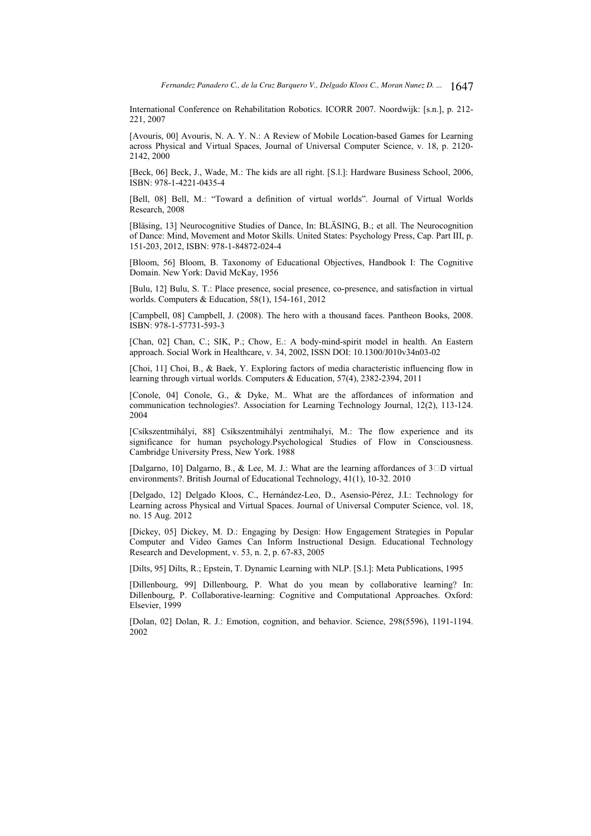International Conference on Rehabilitation Robotics. ICORR 2007. Noordwijk: [s.n.], p. 212- 221, 2007

[Avouris, 00] Avouris, N. A. Y. N.: A Review of Mobile Location-based Games for Learning across Physical and Virtual Spaces, Journal of Universal Computer Science, v. 18, p. 2120- 2142, 2000

[Beck, 06] Beck, J., Wade, M.: The kids are all right. [S.l.]: Hardware Business School, 2006, ISBN: 978-1-4221-0435-4

[Bell, 08] Bell, M.: "Toward a definition of virtual worlds". Journal of Virtual Worlds Research, 2008

[Bläsing, 13] Neurocognitive Studies of Dance, In: BLÄSING, B.; et all. The Neurocognition of Dance: Mind, Movement and Motor Skills. United States: Psychology Press, Cap. Part III, p. 151-203, 2012, ISBN: 978-1-84872-024-4

[Bloom, 56] Bloom, B. Taxonomy of Educational Objectives, Handbook I: The Cognitive Domain. New York: David McKay, 1956

[Bulu, 12] Bulu, S. T.: Place presence, social presence, co-presence, and satisfaction in virtual worlds. Computers & Education, 58(1), 154-161, 2012

[Campbell, 08] Campbell, J. (2008). The hero with a thousand faces. Pantheon Books, 2008. ISBN: 978-1-57731-593-3

[Chan, 02] Chan, C.; SIK, P.; Chow, E.: A body-mind-spirit model in health. An Eastern approach. Social Work in Healthcare, v. 34, 2002, ISSN DOI: 10.1300/J010v34n03-02

[Choi, 11] Choi, B., & Baek, Y. Exploring factors of media characteristic influencing flow in learning through virtual worlds. Computers & Education, 57(4), 2382-2394, 2011

[Conole, 04] Conole, G., & Dyke, M.. What are the affordances of information and communication technologies?. Association for Learning Technology Journal, 12(2), 113-124. 2004

[Csíkszentmihályi, 88] Csíkszentmihályi zentmihalyi, M.: The flow experience and its significance for human psychology.Psychological Studies of Flow in Consciousness. Cambridge University Press, New York. 1988

[Dalgarno, 10] Dalgarno, B., & Lee, M. J.; What are the learning affordances of  $3\square D$  virtual environments?. British Journal of Educational Technology, 41(1), 10-32. 2010

[Delgado, 12] Delgado Kloos, C., Hernández-Leo, D., Asensio-Pérez, J.I.: Technology for Learning across Physical and Virtual Spaces. Journal of Universal Computer Science, vol. 18, no. 15 Aug. 2012

[Dickey, 05] Dickey, M. D.: Engaging by Design: How Engagement Strategies in Popular Computer and Video Games Can Inform Instructional Design. Educational Technology Research and Development, v. 53, n. 2, p. 67-83, 2005

[Dilts, 95] Dilts, R.; Epstein, T. Dynamic Learning with NLP. [S.l.]: Meta Publications, 1995

[Dillenbourg, 99] Dillenbourg, P. What do you mean by collaborative learning? In: Dillenbourg, P. Collaborative-learning: Cognitive and Computational Approaches. Oxford: Elsevier, 1999

[Dolan, 02] Dolan, R. J.: Emotion, cognition, and behavior. Science, 298(5596), 1191-1194. 2002